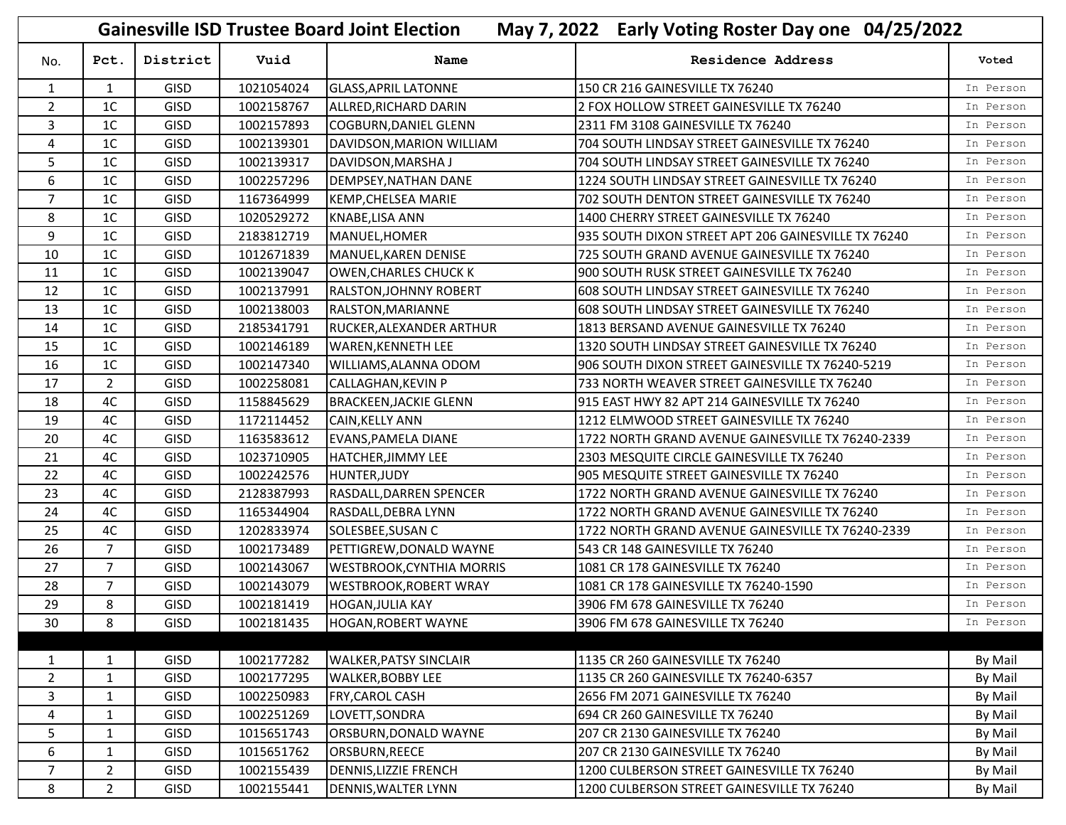|                |                |             |            | <b>Gainesville ISD Trustee Board Joint Election</b> | May 7, 2022 Early Voting Roster Day one 04/25/2022  |           |
|----------------|----------------|-------------|------------|-----------------------------------------------------|-----------------------------------------------------|-----------|
| No.            | Pct.           | District    | Vuid       | Name                                                | Residence Address                                   | Voted     |
| $\mathbf{1}$   | $\mathbf{1}$   | GISD        | 1021054024 | <b>GLASS, APRIL LATONNE</b>                         | 150 CR 216 GAINESVILLE TX 76240                     | In Person |
| $\overline{2}$ | 1 <sup>C</sup> | <b>GISD</b> | 1002158767 | ALLRED, RICHARD DARIN                               | 2 FOX HOLLOW STREET GAINESVILLE TX 76240            | In Person |
| 3              | 1 <sup>C</sup> | <b>GISD</b> | 1002157893 | <b>COGBURN, DANIEL GLENN</b>                        | 2311 FM 3108 GAINESVILLE TX 76240                   | In Person |
| 4              | 1 <sup>C</sup> | <b>GISD</b> | 1002139301 | DAVIDSON, MARION WILLIAM                            | 704 SOUTH LINDSAY STREET GAINESVILLE TX 76240       | In Person |
| 5              | 1 <sup>C</sup> | <b>GISD</b> | 1002139317 | DAVIDSON, MARSHA J                                  | 704 SOUTH LINDSAY STREET GAINESVILLE TX 76240       | In Person |
| 6              | 1 <sup>C</sup> | GISD        | 1002257296 | DEMPSEY, NATHAN DANE                                | 1224 SOUTH LINDSAY STREET GAINESVILLE TX 76240      | In Person |
| $\overline{7}$ | 1 <sup>C</sup> | <b>GISD</b> | 1167364999 | <b>KEMP, CHELSEA MARIE</b>                          | 702 SOUTH DENTON STREET GAINESVILLE TX 76240        | In Person |
| 8              | 1 <sup>C</sup> | <b>GISD</b> | 1020529272 | <b>KNABE,LISA ANN</b>                               | 1400 CHERRY STREET GAINESVILLE TX 76240             | In Person |
| 9              | 1 <sup>C</sup> | <b>GISD</b> | 2183812719 | MANUEL, HOMER                                       | 935 SOUTH DIXON STREET APT 206 GAINESVILLE TX 76240 | In Person |
| 10             | 1 <sup>C</sup> | <b>GISD</b> | 1012671839 | MANUEL, KAREN DENISE                                | 725 SOUTH GRAND AVENUE GAINESVILLE TX 76240         | In Person |
| 11             | 1 <sup>C</sup> | <b>GISD</b> | 1002139047 | <b>OWEN, CHARLES CHUCK K</b>                        | 900 SOUTH RUSK STREET GAINESVILLE TX 76240          | In Person |
| 12             | 1 <sup>C</sup> | <b>GISD</b> | 1002137991 | <b>RALSTON, JOHNNY ROBERT</b>                       | 608 SOUTH LINDSAY STREET GAINESVILLE TX 76240       | In Person |
| 13             | 1 <sup>C</sup> | GISD        | 1002138003 | RALSTON, MARIANNE                                   | 608 SOUTH LINDSAY STREET GAINESVILLE TX 76240       | In Person |
| 14             | 1 <sup>C</sup> | <b>GISD</b> | 2185341791 | <b>RUCKER, ALEXANDER ARTHUR</b>                     | 1813 BERSAND AVENUE GAINESVILLE TX 76240            | In Person |
| 15             | 1 <sup>C</sup> | <b>GISD</b> | 1002146189 | <b>WAREN, KENNETH LEE</b>                           | 1320 SOUTH LINDSAY STREET GAINESVILLE TX 76240      | In Person |
| 16             | 1 <sup>C</sup> | <b>GISD</b> | 1002147340 | WILLIAMS, ALANNA ODOM                               | 906 SOUTH DIXON STREET GAINESVILLE TX 76240-5219    | In Person |
| 17             | $\overline{2}$ | GISD        | 1002258081 | CALLAGHAN, KEVIN P                                  | 733 NORTH WEAVER STREET GAINESVILLE TX 76240        | In Person |
| 18             | 4C             | <b>GISD</b> | 1158845629 | <b>BRACKEEN, JACKIE GLENN</b>                       | 915 EAST HWY 82 APT 214 GAINESVILLE TX 76240        | In Person |
| 19             | 4C             | <b>GISD</b> | 1172114452 | CAIN, KELLY ANN                                     | 1212 ELMWOOD STREET GAINESVILLE TX 76240            | In Person |
| 20             | 4C             | GISD        | 1163583612 | EVANS, PAMELA DIANE                                 | 1722 NORTH GRAND AVENUE GAINESVILLE TX 76240-2339   | In Person |
| 21             | 4C             | <b>GISD</b> | 1023710905 | <b>HATCHER, JIMMY LEE</b>                           | 2303 MESQUITE CIRCLE GAINESVILLE TX 76240           | In Person |
| 22             | 4C             | <b>GISD</b> | 1002242576 | <b>HUNTER, JUDY</b>                                 | 905 MESQUITE STREET GAINESVILLE TX 76240            | In Person |
| 23             | 4C             | <b>GISD</b> | 2128387993 | RASDALL, DARREN SPENCER                             | 1722 NORTH GRAND AVENUE GAINESVILLE TX 76240        | In Person |
| 24             | 4C             | GISD        | 1165344904 | RASDALL, DEBRA LYNN                                 | 1722 NORTH GRAND AVENUE GAINESVILLE TX 76240        | In Person |
| 25             | 4C             | <b>GISD</b> | 1202833974 | SOLESBEE, SUSAN C                                   | 1722 NORTH GRAND AVENUE GAINESVILLE TX 76240-2339   | In Person |
| 26             | $\overline{7}$ | <b>GISD</b> | 1002173489 | PETTIGREW, DONALD WAYNE                             | 543 CR 148 GAINESVILLE TX 76240                     | In Person |
| 27             | $\overline{7}$ | GISD        | 1002143067 | <b>WESTBROOK, CYNTHIA MORRIS</b>                    | 1081 CR 178 GAINESVILLE TX 76240                    | In Person |
| 28             | $\overline{7}$ | <b>GISD</b> | 1002143079 | <b>WESTBROOK, ROBERT WRAY</b>                       | 1081 CR 178 GAINESVILLE TX 76240-1590               | In Person |
| 29             | 8              | GISD        | 1002181419 | <b>HOGAN, JULIA KAY</b>                             | 3906 FM 678 GAINESVILLE TX 76240                    | In Person |
| 30             | 8              | <b>GISD</b> | 1002181435 | <b>HOGAN, ROBERT WAYNE</b>                          | 3906 FM 678 GAINESVILLE TX 76240                    | In Person |
|                |                |             |            |                                                     |                                                     |           |
| 1              | 1              | <b>GISD</b> | 1002177282 | <b>WALKER, PATSY SINCLAIR</b>                       | 1135 CR 260 GAINESVILLE TX 76240                    | By Mail   |
| $\overline{2}$ | $\mathbf{1}$   | <b>GISD</b> | 1002177295 | <b>WALKER, BOBBY LEE</b>                            | 1135 CR 260 GAINESVILLE TX 76240-6357               | By Mail   |
| 3              | $\mathbf{1}$   | <b>GISD</b> | 1002250983 | FRY, CAROL CASH                                     | 2656 FM 2071 GAINESVILLE TX 76240                   | By Mail   |
| 4              | $\mathbf{1}$   | <b>GISD</b> | 1002251269 | LOVETT,SONDRA                                       | 694 CR 260 GAINESVILLE TX 76240                     | By Mail   |
| 5              | $\mathbf{1}$   | <b>GISD</b> | 1015651743 | ORSBURN, DONALD WAYNE                               | 207 CR 2130 GAINESVILLE TX 76240                    | By Mail   |
| 6              | $\mathbf{1}$   | <b>GISD</b> | 1015651762 | ORSBURN, REECE                                      | 207 CR 2130 GAINESVILLE TX 76240                    | By Mail   |
| $\overline{7}$ | $\overline{2}$ | <b>GISD</b> | 1002155439 | DENNIS, LIZZIE FRENCH                               | 1200 CULBERSON STREET GAINESVILLE TX 76240          | By Mail   |
| 8              | $\overline{2}$ | <b>GISD</b> | 1002155441 | DENNIS, WALTER LYNN                                 | 1200 CULBERSON STREET GAINESVILLE TX 76240          | By Mail   |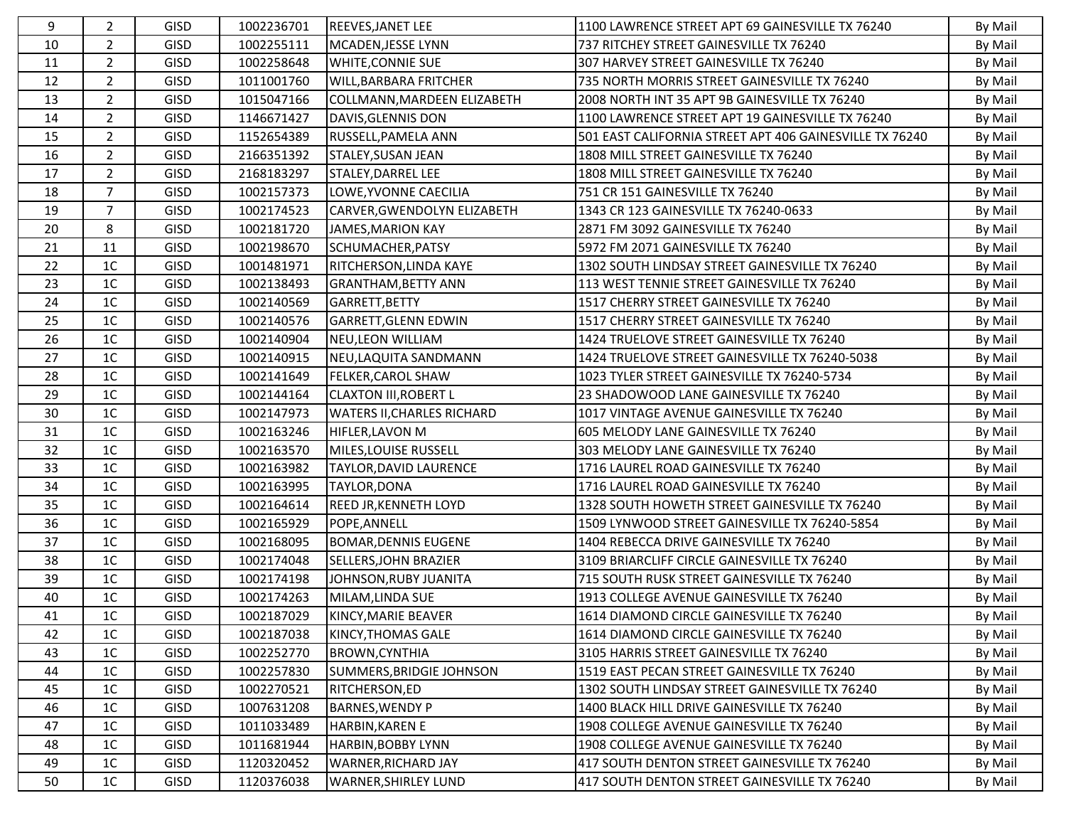| 9  | $\overline{2}$ | <b>GISD</b> | 1002236701 | <b>REEVES, JANET LEE</b>          | 1100 LAWRENCE STREET APT 69 GAINESVILLE TX 76240        | By Mail |
|----|----------------|-------------|------------|-----------------------------------|---------------------------------------------------------|---------|
| 10 | $\overline{2}$ | <b>GISD</b> | 1002255111 | MCADEN, JESSE LYNN                | 737 RITCHEY STREET GAINESVILLE TX 76240                 | By Mail |
| 11 | $\overline{2}$ | <b>GISD</b> | 1002258648 | <b>WHITE, CONNIE SUE</b>          | 307 HARVEY STREET GAINESVILLE TX 76240                  | By Mail |
| 12 | $\overline{2}$ | <b>GISD</b> | 1011001760 | <b>WILL, BARBARA FRITCHER</b>     | 735 NORTH MORRIS STREET GAINESVILLE TX 76240            | By Mail |
| 13 | $\overline{2}$ | <b>GISD</b> | 1015047166 | COLLMANN, MARDEEN ELIZABETH       | 2008 NORTH INT 35 APT 9B GAINESVILLE TX 76240           | By Mail |
| 14 | $\overline{2}$ | <b>GISD</b> | 1146671427 | DAVIS, GLENNIS DON                | 1100 LAWRENCE STREET APT 19 GAINESVILLE TX 76240        | By Mail |
| 15 | $\overline{2}$ | GISD        | 1152654389 | RUSSELL, PAMELA ANN               | 501 EAST CALIFORNIA STREET APT 406 GAINESVILLE TX 76240 | By Mail |
| 16 | $\overline{2}$ | GISD        | 2166351392 | <b>STALEY, SUSAN JEAN</b>         | 1808 MILL STREET GAINESVILLE TX 76240                   | By Mail |
| 17 | $\overline{2}$ | <b>GISD</b> | 2168183297 | STALEY, DARREL LEE                | 1808 MILL STREET GAINESVILLE TX 76240                   | By Mail |
| 18 | $\overline{7}$ | <b>GISD</b> | 1002157373 | LOWE, YVONNE CAECILIA             | 751 CR 151 GAINESVILLE TX 76240                         | By Mail |
| 19 | $\overline{7}$ | <b>GISD</b> | 1002174523 | CARVER, GWENDOLYN ELIZABETH       | 1343 CR 123 GAINESVILLE TX 76240-0633                   | By Mail |
| 20 | 8              | <b>GISD</b> | 1002181720 | JAMES, MARION KAY                 | 2871 FM 3092 GAINESVILLE TX 76240                       | By Mail |
| 21 | 11             | <b>GISD</b> | 1002198670 | SCHUMACHER, PATSY                 | 5972 FM 2071 GAINESVILLE TX 76240                       | By Mail |
| 22 | 1 <sup>C</sup> | <b>GISD</b> | 1001481971 | RITCHERSON, LINDA KAYE            | 1302 SOUTH LINDSAY STREET GAINESVILLE TX 76240          | By Mail |
| 23 | 1 <sup>C</sup> | <b>GISD</b> | 1002138493 | <b>GRANTHAM, BETTY ANN</b>        | 113 WEST TENNIE STREET GAINESVILLE TX 76240             | By Mail |
| 24 | 1 <sup>C</sup> | <b>GISD</b> | 1002140569 | GARRETT, BETTY                    | 1517 CHERRY STREET GAINESVILLE TX 76240                 | By Mail |
| 25 | 1 <sup>C</sup> | <b>GISD</b> | 1002140576 | <b>GARRETT, GLENN EDWIN</b>       | 1517 CHERRY STREET GAINESVILLE TX 76240                 | By Mail |
| 26 | 1 <sup>C</sup> | <b>GISD</b> | 1002140904 | NEU, LEON WILLIAM                 | 1424 TRUELOVE STREET GAINESVILLE TX 76240               | By Mail |
| 27 | 1 <sup>C</sup> | <b>GISD</b> | 1002140915 | NEU, LAQUITA SANDMANN             | 1424 TRUELOVE STREET GAINESVILLE TX 76240-5038          | By Mail |
| 28 | 1 <sup>C</sup> | <b>GISD</b> | 1002141649 | <b>FELKER, CAROL SHAW</b>         | 1023 TYLER STREET GAINESVILLE TX 76240-5734             | By Mail |
| 29 | 1 <sup>C</sup> | <b>GISD</b> | 1002144164 | <b>CLAXTON III, ROBERT L</b>      | 23 SHADOWOOD LANE GAINESVILLE TX 76240                  | By Mail |
| 30 | 1 <sup>C</sup> | GISD        | 1002147973 | <b>WATERS II, CHARLES RICHARD</b> | 1017 VINTAGE AVENUE GAINESVILLE TX 76240                | By Mail |
| 31 | 1 <sup>C</sup> | <b>GISD</b> | 1002163246 | <b>HIFLER, LAVON M</b>            | 605 MELODY LANE GAINESVILLE TX 76240                    | By Mail |
| 32 | 1 <sup>C</sup> | GISD        | 1002163570 | MILES, LOUISE RUSSELL             | 303 MELODY LANE GAINESVILLE TX 76240                    | By Mail |
| 33 | 1 <sup>C</sup> | GISD        | 1002163982 | TAYLOR, DAVID LAURENCE            | 1716 LAUREL ROAD GAINESVILLE TX 76240                   | By Mail |
| 34 | 1 <sup>C</sup> | <b>GISD</b> | 1002163995 | TAYLOR, DONA                      | 1716 LAUREL ROAD GAINESVILLE TX 76240                   | By Mail |
| 35 | 1 <sup>C</sup> | <b>GISD</b> | 1002164614 | <b>REED JR, KENNETH LOYD</b>      | 1328 SOUTH HOWETH STREET GAINESVILLE TX 76240           | By Mail |
| 36 | 1 <sup>C</sup> | <b>GISD</b> | 1002165929 | POPE, ANNELL                      | 1509 LYNWOOD STREET GAINESVILLE TX 76240-5854           | By Mail |
| 37 | 1 <sup>C</sup> | GISD        | 1002168095 | <b>BOMAR, DENNIS EUGENE</b>       | 1404 REBECCA DRIVE GAINESVILLE TX 76240                 | By Mail |
| 38 | 1 <sup>C</sup> | <b>GISD</b> | 1002174048 | SELLERS, JOHN BRAZIER             | 3109 BRIARCLIFF CIRCLE GAINESVILLE TX 76240             | By Mail |
| 39 | 1 <sup>C</sup> | <b>GISD</b> | 1002174198 | JOHNSON, RUBY JUANITA             | 715 SOUTH RUSK STREET GAINESVILLE TX 76240              | By Mail |
| 40 | 1 <sup>C</sup> | <b>GISD</b> | 1002174263 | MILAM, LINDA SUE                  | 1913 COLLEGE AVENUE GAINESVILLE TX 76240                | By Mail |
| 41 | 1 <sup>C</sup> | <b>GISD</b> | 1002187029 | KINCY, MARIE BEAVER               | 1614 DIAMOND CIRCLE GAINESVILLE TX 76240                | By Mail |
| 42 | 1C             | <b>GISD</b> | 1002187038 | KINCY, THOMAS GALE                | 1614 DIAMOND CIRCLE GAINESVILLE TX 76240                | By Mail |
| 43 | 1 <sup>C</sup> | <b>GISD</b> | 1002252770 | <b>BROWN, CYNTHIA</b>             | 3105 HARRIS STREET GAINESVILLE TX 76240                 | By Mail |
| 44 | 1C             | <b>GISD</b> | 1002257830 | SUMMERS, BRIDGIE JOHNSON          | 1519 EAST PECAN STREET GAINESVILLE TX 76240             | By Mail |
| 45 | 1 <sup>C</sup> | <b>GISD</b> | 1002270521 | RITCHERSON, ED                    | 1302 SOUTH LINDSAY STREET GAINESVILLE TX 76240          | By Mail |
| 46 | 1C             | <b>GISD</b> | 1007631208 | <b>BARNES, WENDY P</b>            | 1400 BLACK HILL DRIVE GAINESVILLE TX 76240              | By Mail |
| 47 | 1 <sup>C</sup> | <b>GISD</b> | 1011033489 | <b>HARBIN, KAREN E</b>            | 1908 COLLEGE AVENUE GAINESVILLE TX 76240                | By Mail |
| 48 | 1 <sup>C</sup> | <b>GISD</b> | 1011681944 | <b>HARBIN, BOBBY LYNN</b>         | 1908 COLLEGE AVENUE GAINESVILLE TX 76240                | By Mail |
| 49 | 1 <sup>C</sup> | <b>GISD</b> | 1120320452 | <b>WARNER, RICHARD JAY</b>        | 417 SOUTH DENTON STREET GAINESVILLE TX 76240            | By Mail |
| 50 | 1C             | <b>GISD</b> | 1120376038 | <b>WARNER, SHIRLEY LUND</b>       | 417 SOUTH DENTON STREET GAINESVILLE TX 76240            | By Mail |